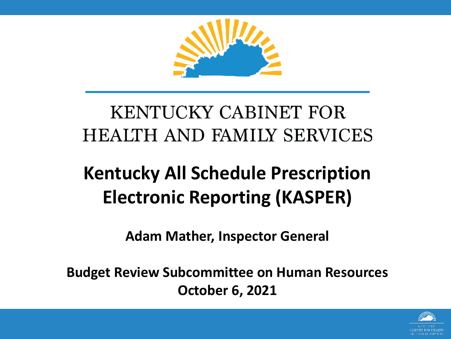

#### **KENTUCKY CABINET FOR HEALTH AND FAMILY SERVICES**

#### **Kentucky All Schedule Prescription Electronic Reporting (KASPER)**

**Adam Mather, Inspector General**

**Budget Review Subcommittee on Human Resources October 6, 2021**

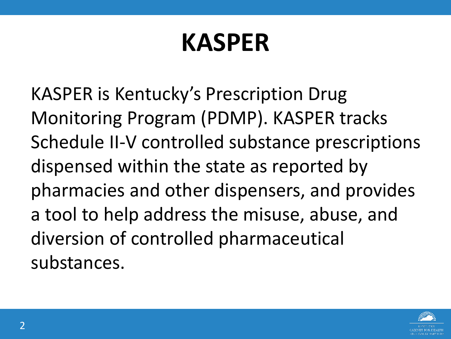## **KASPER**

KASPER is Kentucky's Prescription Drug Monitoring Program (PDMP). KASPER tracks Schedule II-V controlled substance prescriptions dispensed within the state as reported by pharmacies and other dispensers, and provides a tool to help address the misuse, abuse, and diversion of controlled pharmaceutical substances.

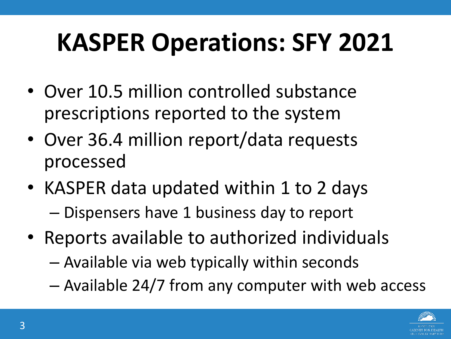# **KASPER Operations: SFY 2021**

- Over 10.5 million controlled substance prescriptions reported to the system
- Over 36.4 million report/data requests processed
- KASPER data updated within 1 to 2 days – Dispensers have 1 business day to report
- Reports available to authorized individuals
	- Available via web typically within seconds
	- Available 24/7 from any computer with web access

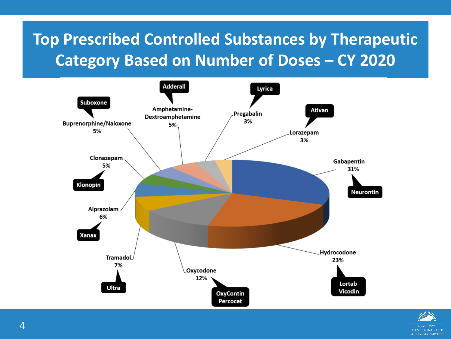#### **Top Prescribed Controlled Substances by Therapeutic Category Based on Number of Doses – CY 2020**



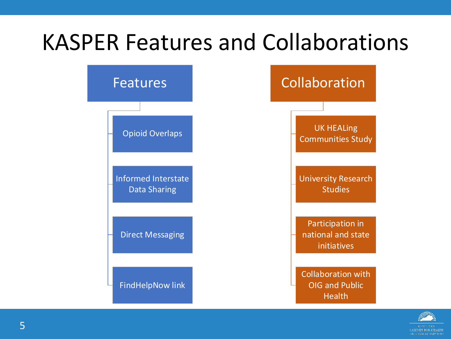#### KASPER Features and Collaborations



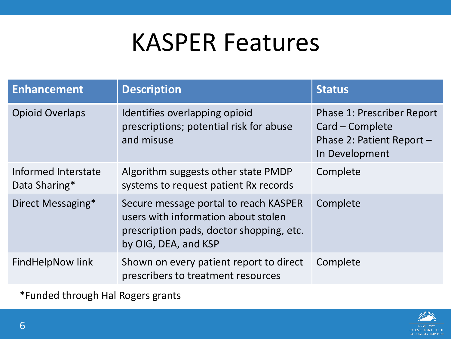#### KASPER Features

| <b>Enhancement</b>                   | <b>Description</b>                                                                                                                               | <b>Status</b>                                                                                       |
|--------------------------------------|--------------------------------------------------------------------------------------------------------------------------------------------------|-----------------------------------------------------------------------------------------------------|
| <b>Opioid Overlaps</b>               | Identifies overlapping opioid<br>prescriptions; potential risk for abuse<br>and misuse                                                           | <b>Phase 1: Prescriber Report</b><br>Card – Complete<br>Phase 2: Patient Report -<br>In Development |
| Informed Interstate<br>Data Sharing* | Algorithm suggests other state PMDP<br>systems to request patient Rx records                                                                     | Complete                                                                                            |
| Direct Messaging*                    | Secure message portal to reach KASPER<br>users with information about stolen<br>prescription pads, doctor shopping, etc.<br>by OIG, DEA, and KSP | Complete                                                                                            |
| FindHelpNow link                     | Shown on every patient report to direct<br>prescribers to treatment resources                                                                    | Complete                                                                                            |

\*Funded through Hal Rogers grants

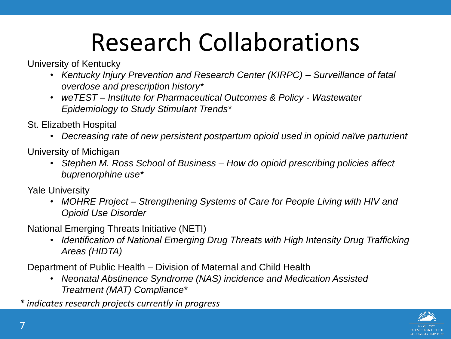### Research Collaborations

University of Kentucky

- *Kentucky Injury Prevention and Research Center (KIRPC) – Surveillance of fatal overdose and prescription history\**
- *weTEST – Institute for Pharmaceutical Outcomes & Policy - Wastewater Epidemiology to Study Stimulant Trends\**

St. Elizabeth Hospital

• *Decreasing rate of new persistent postpartum opioid used in opioid naïve parturient*

University of Michigan

• *Stephen M. Ross School of Business – How do opioid prescribing policies affect buprenorphine use\**

Yale University

• *MOHRE Project – Strengthening Systems of Care for People Living with HIV and Opioid Use Disorder*

National Emerging Threats Initiative (NETI)

• *Identification of National Emerging Drug Threats with High Intensity Drug Trafficking Areas (HIDTA)* 

Department of Public Health – Division of Maternal and Child Health

• *Neonatal Abstinence Syndrome (NAS) incidence and Medication Assisted Treatment (MAT) Compliance\**

*\* indicates research projects currently in progress*

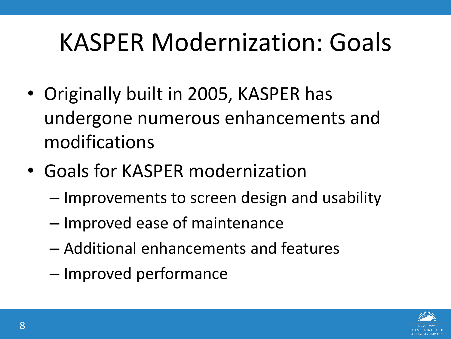### KASPER Modernization: Goals

- Originally built in 2005, KASPER has undergone numerous enhancements and modifications
- Goals for KASPER modernization
	- Improvements to screen design and usability
	- Improved ease of maintenance
	- Additional enhancements and features
	- Improved performance

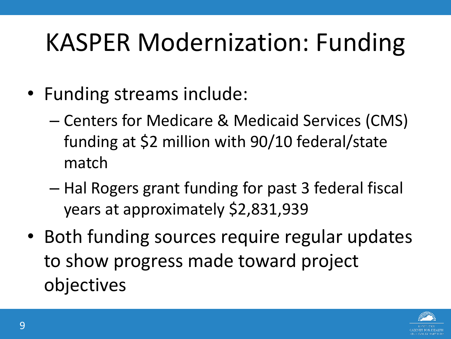# KASPER Modernization: Funding

- Funding streams include:
	- Centers for Medicare & Medicaid Services (CMS) funding at \$2 million with 90/10 federal/state match
	- Hal Rogers grant funding for past 3 federal fiscal years at approximately \$2,831,939
- Both funding sources require regular updates to show progress made toward project objectives

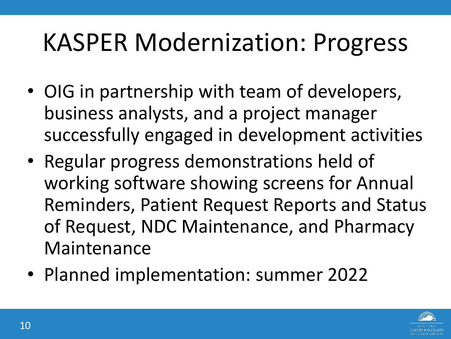## KASPER Modernization: Progress

- OIG in partnership with team of developers, business analysts, and a project manager successfully engaged in development activities
- Regular progress demonstrations held of working software showing screens for Annual Reminders, Patient Request Reports and Status of Request, NDC Maintenance, and Pharmacy Maintenance
- Planned implementation: summer 2022

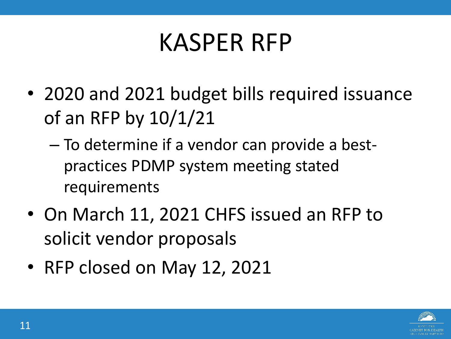#### KASPER RFP

- 2020 and 2021 budget bills required issuance of an RFP by 10/1/21
	- To determine if a vendor can provide a bestpractices PDMP system meeting stated requirements
- On March 11, 2021 CHFS issued an RFP to solicit vendor proposals
- RFP closed on May 12, 2021